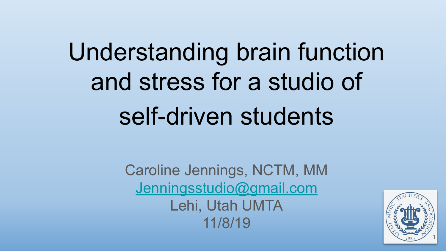# Understanding brain function and stress for a studio of self-driven students

Caroline Jennings, NCTM, MM [Jenningsstudio@gmail.com](mailto:Jenningsstudio@gmail.com) Lehi, Utah UMTA 11/8/19

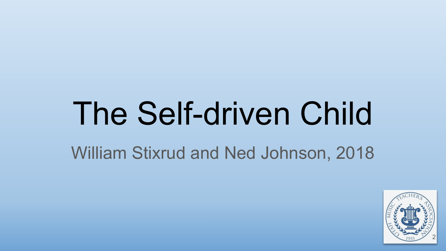# The Self-driven Child William Stixrud and Ned Johnson, 2018

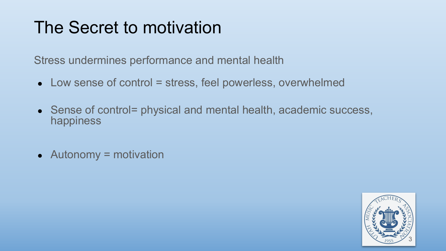# The Secret to motivation

Stress undermines performance and mental health

- $\bullet$  Low sense of control = stress, feel powerless, overwhelmed
- Sense of control= physical and mental health, academic success, happiness
- $\bullet$  Autonomy = motivation

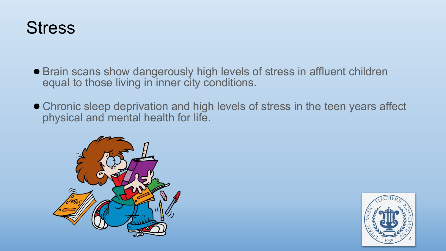#### **Stress**

- Brain scans show dangerously high levels of stress in affluent children equal to those living in inner city conditions.
- Chronic sleep deprivation and high levels of stress in the teen years affect physical and mental health for life.



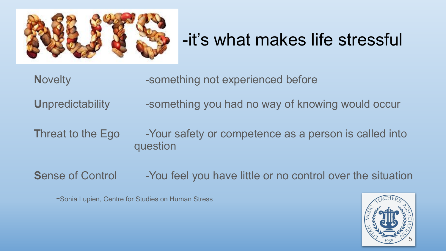

# -it's what makes life stressful

**Novelty -something not experienced before** 

**U**npredictability -something you had no way of knowing would occur

**Threat to the Ego** -Your safety or competence as a person is called into question

**Sense of Control -You feel you have little or no control over the situation** 

-Sonia Lupien, Centre for Studies on Human Stress

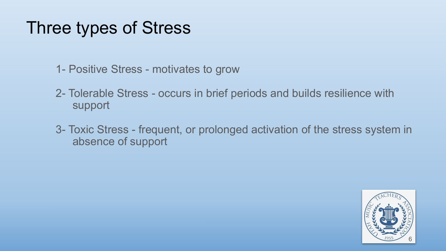# Three types of Stress

- 1- Positive Stress motivates to grow
- 2- Tolerable Stress occurs in brief periods and builds resilience with support
- 3- Toxic Stress frequent, or prolonged activation of the stress system in absence of support

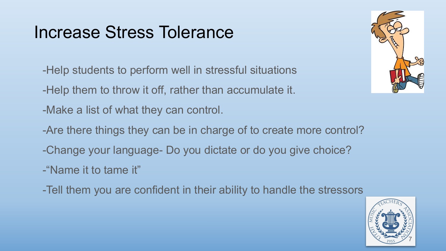### Increase Stress Tolerance

- -Help students to perform well in stressful situations
- -Help them to throw it off, rather than accumulate it.
- -Make a list of what they can control.
- -Are there things they can be in charge of to create more control?
- -Change your language- Do you dictate or do you give choice?
- -"Name it to tame it"
- -Tell them you are confident in their ability to handle the stressors



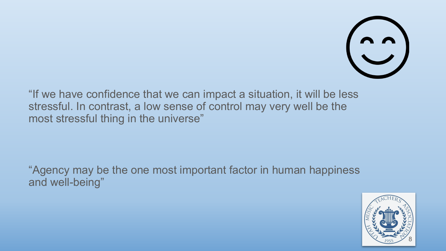

"If we have confidence that we can impact a situation, it will be less stressful. In contrast, a low sense of control may very well be the most stressful thing in the universe"

"Agency may be the one most important factor in human happiness and well-being"

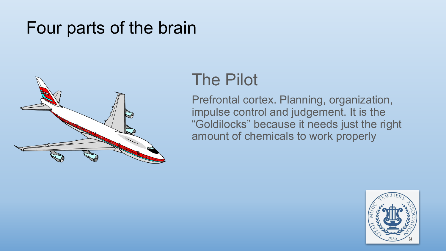

#### The Pilot

Prefrontal cortex. Planning, organization, impulse control and judgement. It is the "Goldilocks" because it needs just the right amount of chemicals to work properly

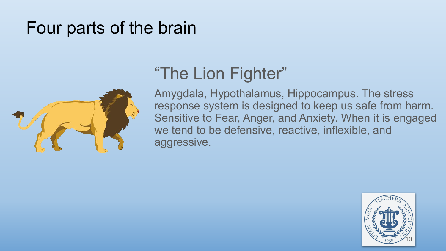

### "The Lion Fighter"

Amygdala, Hypothalamus, Hippocampus. The stress response system is designed to keep us safe from harm. Sensitive to Fear, Anger, and Anxiety. When it is engaged we tend to be defensive, reactive, inflexible, and aggressive.

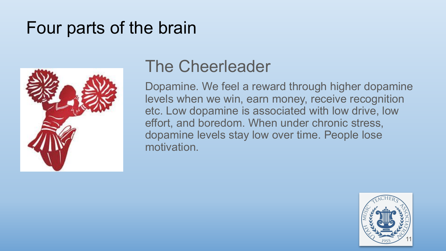

#### The Cheerleader

Dopamine. We feel a reward through higher dopamine levels when we win, earn money, receive recognition etc. Low dopamine is associated with low drive, low effort, and boredom. When under chronic stress, dopamine levels stay low over time. People lose motivation.

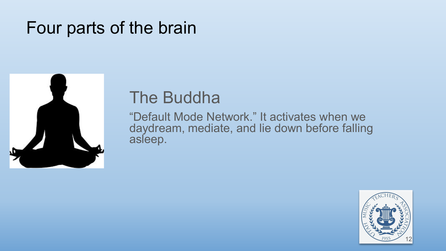

#### The Buddha

"Default Mode Network." It activates when we daydream, mediate, and lie down before falling asleep.

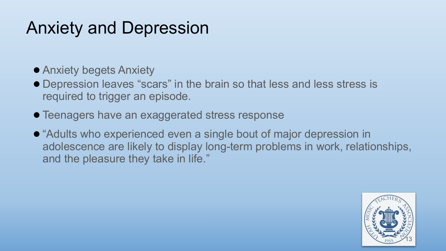## Anxiety and Depression

- Anxiety begets Anxiety
- Depression leaves "scars" in the brain so that less and less stress is required to trigger an episode.
- Teenagers have an exaggerated stress response
- "Adults who experienced even a single bout of major depression in adolescence are likely to display long-term problems in work, relationships, and the pleasure they take in life."

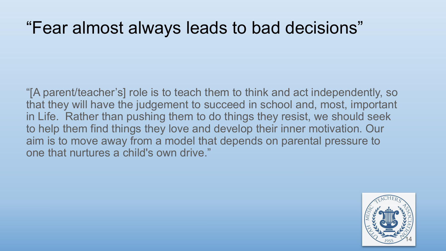#### "Fear almost always leads to bad decisions"

"[A parent/teacher's] role is to teach them to think and act independently, so that they will have the judgement to succeed in school and, most, important in Life. Rather than pushing them to do things they resist, we should seek to help them find things they love and develop their inner motivation. Our aim is to move away from a model that depends on parental pressure to one that nurtures a child's own drive."

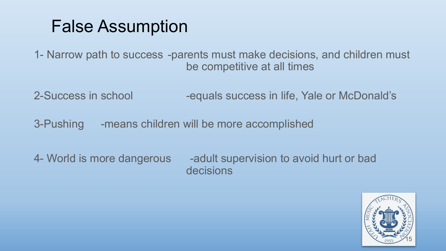#### False Assumption

1- Narrow path to success -parents must make decisions, and children must be competitive at all times

2-Success in school -equals success in life, Yale or McDonald's

3-Pushing -means children will be more accomplished

4- World is more dangerous -adult supervision to avoid hurt or bad decisions

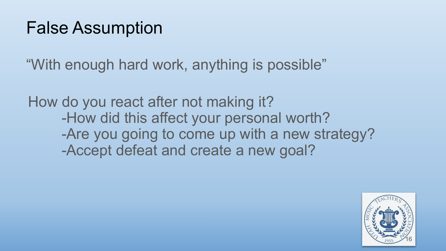### False Assumption

"With enough hard work, anything is possible"

How do you react after not making it? -How did this affect your personal worth? -Are you going to come up with a new strategy? -Accept defeat and create a new goal?

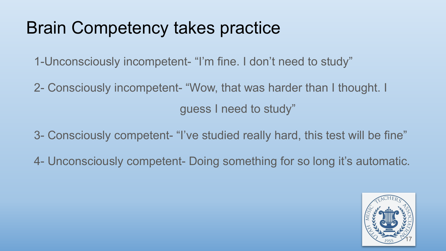# Brain Competency takes practice

- 1-Unconsciously incompetent- "I'm fine. I don't need to study"
- 2- Consciously incompetent- "Wow, that was harder than I thought. I guess I need to study"
- 3- Consciously competent- "I've studied really hard, this test will be fine"
- 4- Unconsciously competent- Doing something for so long it's automatic.

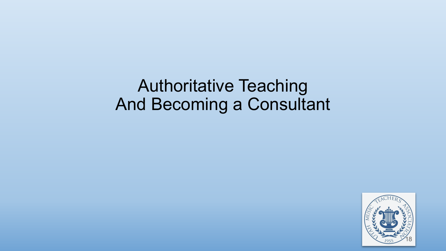Authoritative Teaching And Becoming a Consultant

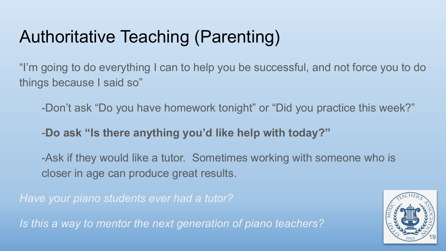# Authoritative Teaching (Parenting)

"I'm going to do everything I can to help you be successful, and not force you to do things because I said so"

-Don't ask "Do you have homework tonight" or "Did you practice this week?"

-**Do ask "Is there anything you'd like help with today?"**

-Ask if they would like a tutor. Sometimes working with someone who is closer in age can produce great results.

*Have your piano students ever had a tutor?* 

*Is this a way to mentor the next generation of piano teachers?*

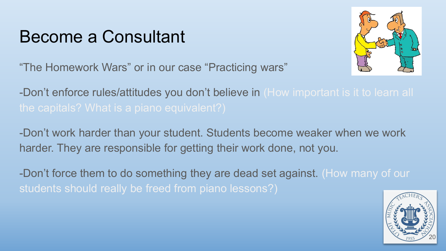#### Become a Consultant



"The Homework Wars" or in our case "Practicing wars"

-Don't enforce rules/attitudes you don't believe in (How important is it to learn all

-Don't work harder than your student. Students become weaker when we work harder. They are responsible for getting their work done, not you.

-Don't force them to do something they are dead set against. (How many of our students should really be freed from piano lessons?)

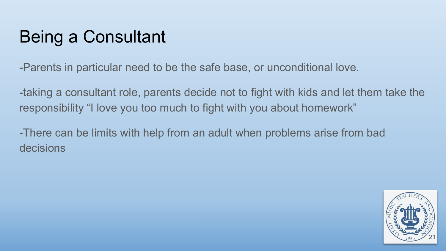-Parents in particular need to be the safe base, or unconditional love.

-taking a consultant role, parents decide not to fight with kids and let them take the responsibility "I love you too much to fight with you about homework"

-There can be limits with help from an adult when problems arise from bad decisions

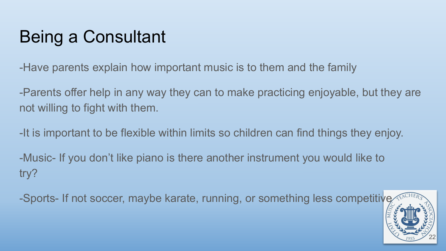-Have parents explain how important music is to them and the family

-Parents offer help in any way they can to make practicing enjoyable, but they are not willing to fight with them.

-It is important to be flexible within limits so children can find things they enjoy.

-Music- If you don't like piano is there another instrument you would like to try?

-Sports- If not soccer, maybe karate, running, or something less competitive

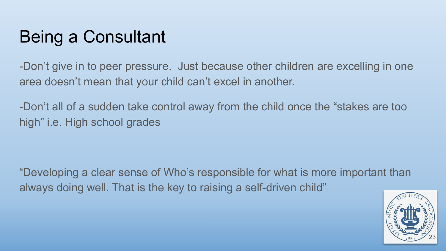-Don't give in to peer pressure. Just because other children are excelling in one area doesn't mean that your child can't excel in another.

-Don't all of a sudden take control away from the child once the "stakes are too high" i.e. High school grades

"Developing a clear sense of Who's responsible for what is more important than always doing well. That is the key to raising a self-driven child"

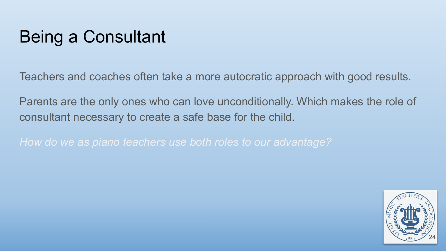Teachers and coaches often take a more autocratic approach with good results.

Parents are the only ones who can love unconditionally. Which makes the role of consultant necessary to create a safe base for the child.

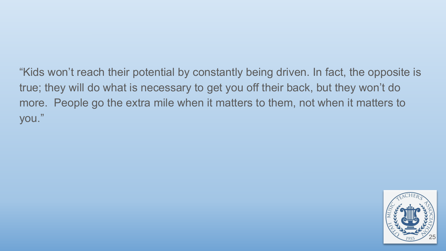"Kids won't reach their potential by constantly being driven. In fact, the opposite is true; they will do what is necessary to get you off their back, but they won't do more. People go the extra mile when it matters to them, not when it matters to you."

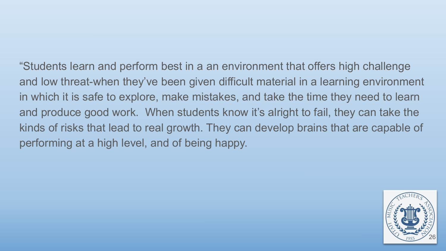"Students learn and perform best in a an environment that offers high challenge and low threat-when they've been given difficult material in a learning environment in which it is safe to explore, make mistakes, and take the time they need to learn and produce good work. When students know it's alright to fail, they can take the kinds of risks that lead to real growth. They can develop brains that are capable of performing at a high level, and of being happy.

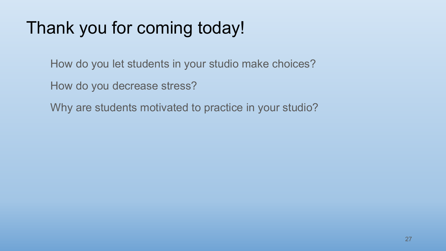# Thank you for coming today!

How do you let students in your studio make choices?

How do you decrease stress?

Why are students motivated to practice in your studio?